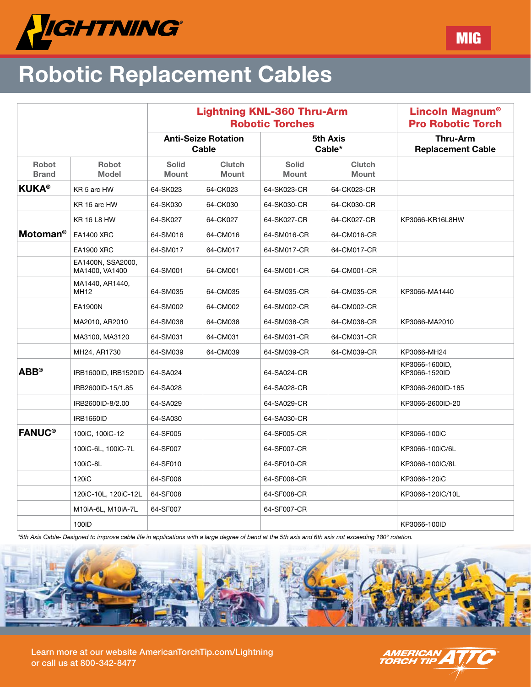

## Robotic Replacement Cables

|                              |                                     |                                     | <b>Lightning KNL-360 Thru-Arm</b><br><b>Robotic Torches</b> |                       | <b>Lincoln Magnum<sup>®</sup></b><br><b>Pro Robotic Torch</b> |                                             |  |
|------------------------------|-------------------------------------|-------------------------------------|-------------------------------------------------------------|-----------------------|---------------------------------------------------------------|---------------------------------------------|--|
|                              |                                     | <b>Anti-Seize Rotation</b><br>Cable |                                                             | 5th Axis<br>Cable*    |                                                               | <b>Thru-Arm</b><br><b>Replacement Cable</b> |  |
| <b>Robot</b><br><b>Brand</b> | <b>Robot</b><br><b>Model</b>        | <b>Solid</b><br><b>Mount</b>        | <b>Clutch</b><br><b>Mount</b>                               | <b>Solid</b><br>Mount | <b>Clutch</b><br>Mount                                        |                                             |  |
| <b>KUKA®</b>                 | KR 5 arc HW                         | 64-SK023                            | 64-CK023                                                    | 64-SK023-CR           | 64-CK023-CR                                                   |                                             |  |
|                              | KR 16 arc HW                        | 64-SK030                            | 64-CK030                                                    | 64-SK030-CR           | 64-CK030-CR                                                   |                                             |  |
|                              | <b>KR 16 L8 HW</b>                  | 64-SK027                            | 64-CK027                                                    | 64-SK027-CR           | 64-CK027-CR                                                   | KP3066-KR16L8HW                             |  |
| <b>Motoman<sup>®</sup></b>   | <b>EA1400 XRC</b>                   | 64-SM016                            | 64-CM016                                                    | 64-SM016-CR           | 64-CM016-CR                                                   |                                             |  |
|                              | <b>EA1900 XRC</b>                   | 64-SM017                            | 64-CM017                                                    | 64-SM017-CR           | 64-CM017-CR                                                   |                                             |  |
|                              | EA1400N, SSA2000,<br>MA1400, VA1400 | 64-SM001                            | 64-CM001                                                    | 64-SM001-CR           | 64-CM001-CR                                                   |                                             |  |
|                              | MA1440, AR1440,<br><b>MH12</b>      | 64-SM035                            | 64-CM035                                                    | 64-SM035-CR           | 64-CM035-CR                                                   | KP3066-MA1440                               |  |
|                              | EA1900N                             | 64-SM002                            | 64-CM002                                                    | 64-SM002-CR           | 64-CM002-CR                                                   |                                             |  |
|                              | MA2010, AR2010                      | 64-SM038                            | 64-CM038                                                    | 64-SM038-CR           | 64-CM038-CR                                                   | KP3066-MA2010                               |  |
|                              | MA3100, MA3120                      | 64-SM031                            | 64-CM031                                                    | 64-SM031-CR           | 64-CM031-CR                                                   |                                             |  |
|                              | MH24, AR1730                        | 64-SM039                            | 64-CM039                                                    | 64-SM039-CR           | 64-CM039-CR                                                   | KP3066-MH24                                 |  |
| $ABB^{\circ}$                | IRB1600ID, IRB1520ID                | 64-SA024                            |                                                             | 64-SA024-CR           |                                                               | KP3066-1600ID,<br>KP3066-1520ID             |  |
|                              | IRB2600ID-15/1.85                   | 64-SA028                            |                                                             | 64-SA028-CR           |                                                               | KP3066-2600ID-185                           |  |
|                              | IRB2600ID-8/2.00                    | 64-SA029                            |                                                             | 64-SA029-CR           |                                                               | KP3066-2600ID-20                            |  |
|                              | <b>IRB1660ID</b>                    | 64-SA030                            |                                                             | 64-SA030-CR           |                                                               |                                             |  |
| <b>FANUC<sup>®</sup></b>     | 100iC, 100iC-12                     | 64-SF005                            |                                                             | 64-SF005-CR           |                                                               | KP3066-100iC                                |  |
|                              | 100iC-6L, 100iC-7L                  | 64-SF007                            |                                                             | 64-SF007-CR           |                                                               | KP3066-100iC/6L                             |  |
|                              | 100iC-8L                            | 64-SF010                            |                                                             | 64-SF010-CR           |                                                               | KP3066-100IC/8L                             |  |
|                              | 120 <sub>i</sub> C                  | 64-SF006                            |                                                             | 64-SF006-CR           |                                                               | KP3066-120iC                                |  |
|                              | 120iC-10L, 120iC-12L                | 64-SF008                            |                                                             | 64-SF008-CR           |                                                               | KP3066-120IC/10L                            |  |
|                              | M10iA-6L, M10iA-7L                  | 64-SF007                            |                                                             | 64-SF007-CR           |                                                               |                                             |  |
|                              | 100ID                               |                                     |                                                             |                       |                                                               | KP3066-100ID                                |  |

*\*5th Axis Cable- Designed to improve cable life in applications with a large degree of bend at the 5th axis and 6th axis not exceeding 180° rotation.*



Learn more at our website AmericanTorchTip.com/Lightning or call us at 800-342-8477



MIG